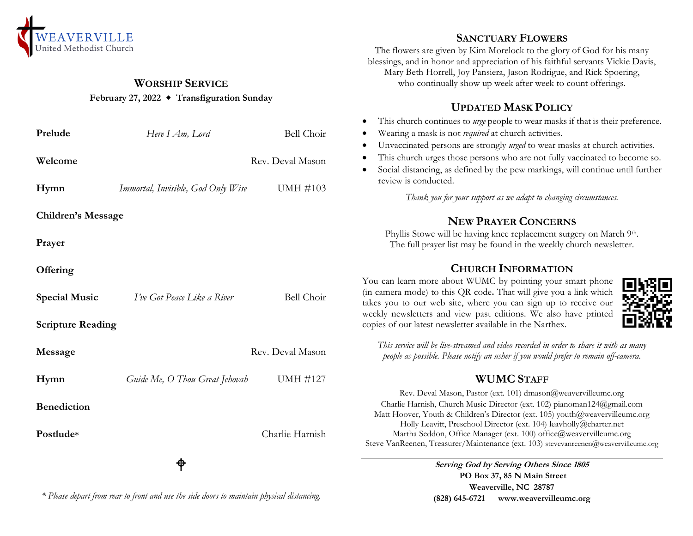

# **WORSHIP SERVICE**

#### **February 27, 2022 Transfiguration Sunday**

| Prelude                   | Here I Am, Lord                    | Bell Choir       |
|---------------------------|------------------------------------|------------------|
| Welcome                   |                                    | Rev. Deval Mason |
| Hymn                      | Immortal, Invisible, God Only Wise | UMH #103         |
| <b>Children's Message</b> |                                    |                  |
| Prayer                    |                                    |                  |
| Offering                  |                                    |                  |
| <b>Special Music</b>      | I've Got Peace Like a River        | Bell Choir       |
| <b>Scripture Reading</b>  |                                    |                  |
| Message                   |                                    | Rev. Deval Mason |
| Hymn                      | Guide Me, O Thou Great Jehovah     | <b>UMH #127</b>  |
| <b>Benediction</b>        |                                    |                  |
| Postlude*                 |                                    | Charlie Harnish  |
|                           |                                    |                  |

#### **SANCTUARY FLOWERS**

The flowers are given by Kim Morelock to the glory of God for his many blessings, and in honor and appreciation of his faithful servants Vickie Davis, Mary Beth Horrell, Joy Pansiera, Jason Rodrigue, and Rick Spoering, who continually show up week after week to count offerings.

### **UPDATED MASK POLICY**

- This church continues to *urge* people to wear masks if that is their preference.
- Wearing a mask is not *required* at church activities.
- Unvaccinated persons are strongly *urged* to wear masks at church activities.
- This church urges those persons who are not fully vaccinated to become so.
- Social distancing, as defined by the pew markings, will continue until further review is conducted.

*Thank you for your support as we adapt to changing circumstances.*

### **NEW PRAYER CONCERNS**

Phyllis Stowe will be having knee replacement surgery on March 9th. The full prayer list may be found in the weekly church newsletter.

# **CHURCH INFORMATION**

You can learn more about WUMC by pointing your smart phone (in camera mode) to this QR code**.** That will give you a link which takes you to our web site, where you can sign up to receive our weekly newsletters and view past editions. We also have printed copies of our latest newsletter available in the Narthex.



*This service will be live-streamed and video recorded in order to share it with as many people as possible. Please notify an usher if you would prefer to remain off-camera.*

# **WUMC STAFF**

Rev. Deval Mason, Pastor (ext. 101) dmason@weavervilleumc.org Charlie Harnish, Church Music Director (ext. 102) pianoman124@gmail.com Matt Hoover, Youth & Children's Director (ext. 105) youth@weavervilleumc.org Holly Leavitt, Preschool Director (ext. 104) leavholly@charter.net Martha Seddon, Office Manager (ext. 100) office@weavervilleumc.org Steve VanReenen, Treasurer/Maintenance (ext. 103) stevevanreenen@weavervilleumc.org

> **Serving God by Serving Others Since 1805 PO Box 37, 85 N Main Street Weaverville, NC 28787 (828) 645-6721 [www.weavervilleumc.org](http://www.weavervilleumc.org/)**

*\* Please depart from rear to front and use the side doors to maintain physical distancing.*